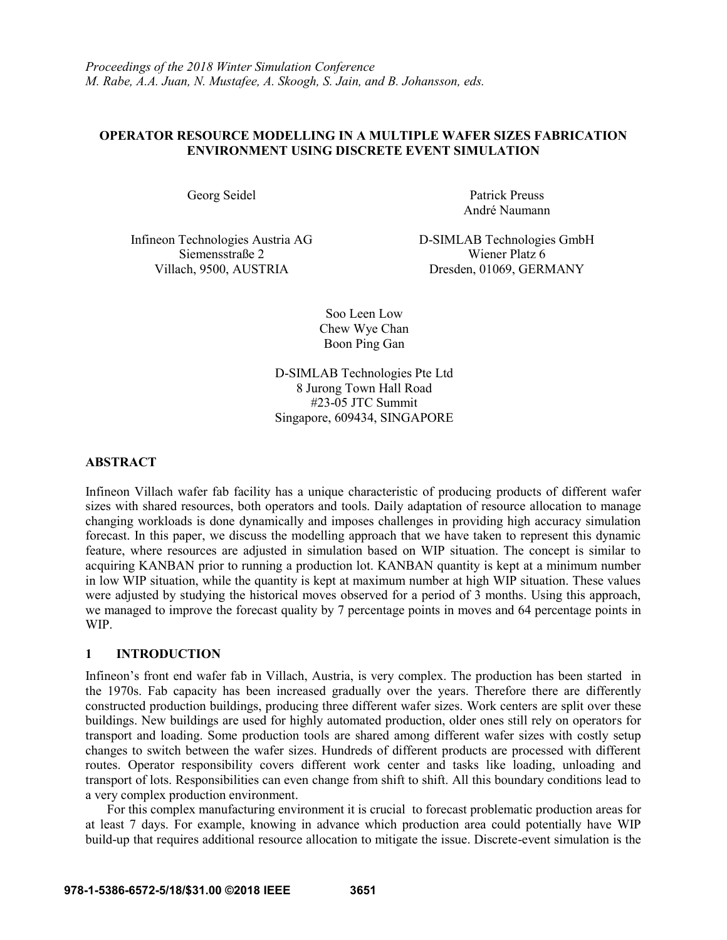## **OPERATOR RESOURCE MODELLING IN A MULTIPLE WAFER SIZES FABRICATION ENVIRONMENT USING DISCRETE EVENT SIMULATION**

Georg Seidel Patrick Preuss

Infineon Technologies Austria AG D-SIMLAB Technologies GmbH Siemensstraße 2 Wiener Platz 6

André Naumann

Villach, 9500, AUSTRIA Dresden, 01069, GERMANY

Soo Leen Low Chew Wye Chan Boon Ping Gan

D-SIMLAB Technologies Pte Ltd 8 Jurong Town Hall Road #23-05 JTC Summit Singapore, 609434, SINGAPORE

## **ABSTRACT**

Infineon Villach wafer fab facility has a unique characteristic of producing products of different wafer sizes with shared resources, both operators and tools. Daily adaptation of resource allocation to manage changing workloads is done dynamically and imposes challenges in providing high accuracy simulation forecast. In this paper, we discuss the modelling approach that we have taken to represent this dynamic feature, where resources are adjusted in simulation based on WIP situation. The concept is similar to acquiring KANBAN prior to running a production lot. KANBAN quantity is kept at a minimum number in low WIP situation, while the quantity is kept at maximum number at high WIP situation. These values were adjusted by studying the historical moves observed for a period of 3 months. Using this approach, we managed to improve the forecast quality by 7 percentage points in moves and 64 percentage points in WIP.

## **1 INTRODUCTION**

Infineon's front end wafer fab in Villach, Austria, is very complex. The production has been started in the 1970s. Fab capacity has been increased gradually over the years. Therefore there are differently constructed production buildings, producing three different wafer sizes. Work centers are split over these buildings. New buildings are used for highly automated production, older ones still rely on operators for transport and loading. Some production tools are shared among different wafer sizes with costly setup changes to switch between the wafer sizes. Hundreds of different products are processed with different routes. Operator responsibility covers different work center and tasks like loading, unloading and transport of lots. Responsibilities can even change from shift to shift. All this boundary conditions lead to a very complex production environment.

For this complex manufacturing environment it is crucial to forecast problematic production areas for at least 7 days. For example, knowing in advance which production area could potentially have WIP build-up that requires additional resource allocation to mitigate the issue. Discrete-event simulation is the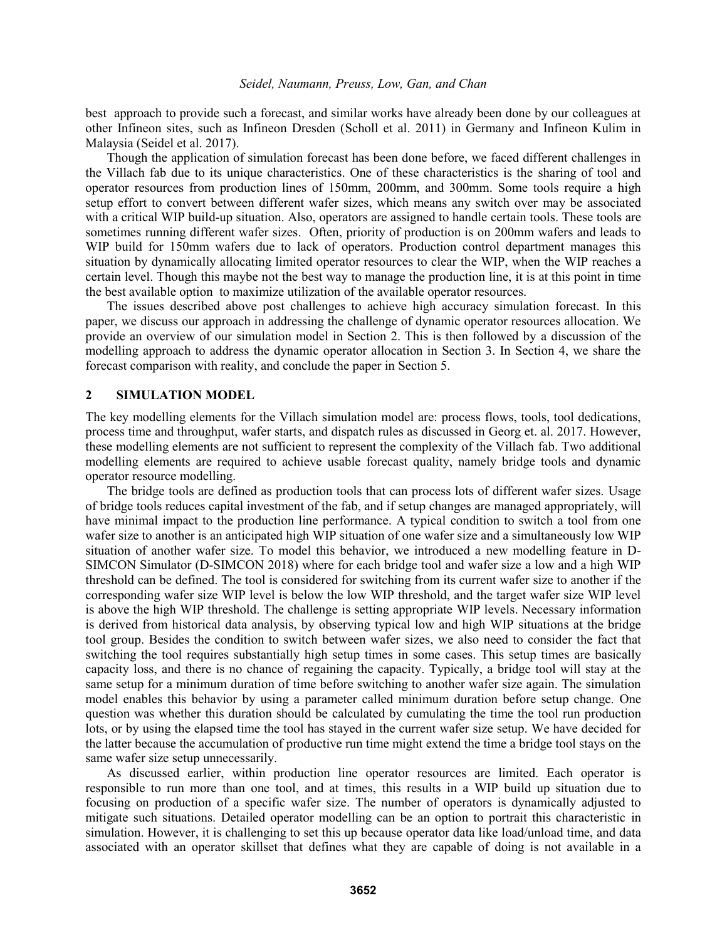best approach to provide such a forecast, and similar works have already been done by our colleagues at other Infineon sites, such as Infineon Dresden (Scholl et al. 2011) in Germany and Infineon Kulim in Malaysia (Seidel et al. 2017).

Though the application of simulation forecast has been done before, we faced different challenges in the Villach fab due to its unique characteristics. One of these characteristics is the sharing of tool and operator resources from production lines of 150mm, 200mm, and 300mm. Some tools require a high setup effort to convert between different wafer sizes, which means any switch over may be associated with a critical WIP build-up situation. Also, operators are assigned to handle certain tools. These tools are sometimes running different wafer sizes. Often, priority of production is on 200mm wafers and leads to WIP build for 150mm wafers due to lack of operators. Production control department manages this situation by dynamically allocating limited operator resources to clear the WIP, when the WIP reaches a certain level. Though this maybe not the best way to manage the production line, it is at this point in time the best available option to maximize utilization of the available operator resources.

The issues described above post challenges to achieve high accuracy simulation forecast. In this paper, we discuss our approach in addressing the challenge of dynamic operator resources allocation. We provide an overview of our simulation model in Section 2. This is then followed by a discussion of the modelling approach to address the dynamic operator allocation in Section 3. In Section 4, we share the forecast comparison with reality, and conclude the paper in Section 5.

#### **2 SIMULATION MODEL**

The key modelling elements for the Villach simulation model are: process flows, tools, tool dedications, process time and throughput, wafer starts, and dispatch rules as discussed in Georg et. al. 2017. However, these modelling elements are not sufficient to represent the complexity of the Villach fab. Two additional modelling elements are required to achieve usable forecast quality, namely bridge tools and dynamic operator resource modelling.

The bridge tools are defined as production tools that can process lots of different wafer sizes. Usage of bridge tools reduces capital investment of the fab, and if setup changes are managed appropriately, will have minimal impact to the production line performance. A typical condition to switch a tool from one wafer size to another is an anticipated high WIP situation of one wafer size and a simultaneously low WIP situation of another wafer size. To model this behavior, we introduced a new modelling feature in D-SIMCON Simulator (D-SIMCON 2018) where for each bridge tool and wafer size a low and a high WIP threshold can be defined. The tool is considered for switching from its current wafer size to another if the corresponding wafer size WIP level is below the low WIP threshold, and the target wafer size WIP level is above the high WIP threshold. The challenge is setting appropriate WIP levels. Necessary information is derived from historical data analysis, by observing typical low and high WIP situations at the bridge tool group. Besides the condition to switch between wafer sizes, we also need to consider the fact that switching the tool requires substantially high setup times in some cases. This setup times are basically capacity loss, and there is no chance of regaining the capacity. Typically, a bridge tool will stay at the same setup for a minimum duration of time before switching to another wafer size again. The simulation model enables this behavior by using a parameter called minimum duration before setup change. One question was whether this duration should be calculated by cumulating the time the tool run production lots, or by using the elapsed time the tool has stayed in the current wafer size setup. We have decided for the latter because the accumulation of productive run time might extend the time a bridge tool stays on the same wafer size setup unnecessarily.

As discussed earlier, within production line operator resources are limited. Each operator is responsible to run more than one tool, and at times, this results in a WIP build up situation due to focusing on production of a specific wafer size. The number of operators is dynamically adjusted to mitigate such situations. Detailed operator modelling can be an option to portrait this characteristic in simulation. However, it is challenging to set this up because operator data like load/unload time, and data associated with an operator skillset that defines what they are capable of doing is not available in a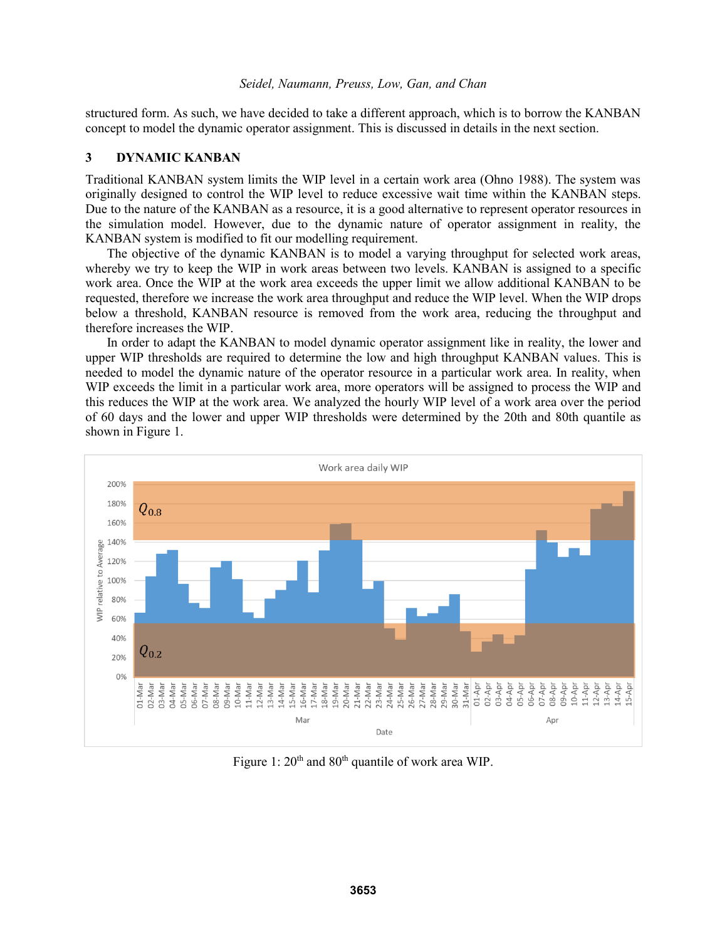structured form. As such, we have decided to take a different approach, which is to borrow the KANBAN concept to model the dynamic operator assignment. This is discussed in details in the next section.

## **3 DYNAMIC KANBAN**

Traditional KANBAN system limits the WIP level in a certain work area (Ohno 1988). The system was originally designed to control the WIP level to reduce excessive wait time within the KANBAN steps. Due to the nature of the KANBAN as a resource, it is a good alternative to represent operator resources in the simulation model. However, due to the dynamic nature of operator assignment in reality, the KANBAN system is modified to fit our modelling requirement.

The objective of the dynamic KANBAN is to model a varying throughput for selected work areas, whereby we try to keep the WIP in work areas between two levels. KANBAN is assigned to a specific work area. Once the WIP at the work area exceeds the upper limit we allow additional KANBAN to be requested, therefore we increase the work area throughput and reduce the WIP level. When the WIP drops below a threshold, KANBAN resource is removed from the work area, reducing the throughput and therefore increases the WIP.

In order to adapt the KANBAN to model dynamic operator assignment like in reality, the lower and upper WIP thresholds are required to determine the low and high throughput KANBAN values. This is needed to model the dynamic nature of the operator resource in a particular work area. In reality, when WIP exceeds the limit in a particular work area, more operators will be assigned to process the WIP and this reduces the WIP at the work area. We analyzed the hourly WIP level of a work area over the period of 60 days and the lower and upper WIP thresholds were determined by the 20th and 80th quantile as shown in Figure 1.



Figure 1:  $20<sup>th</sup>$  and  $80<sup>th</sup>$  quantile of work area WIP.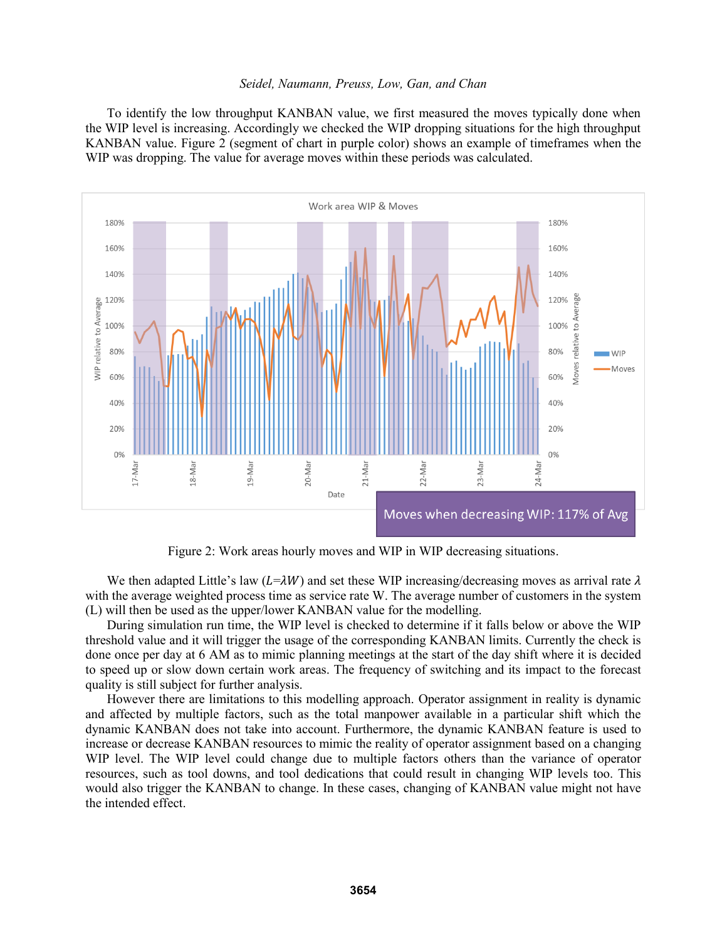To identify the low throughput KANBAN value, we first measured the moves typically done when the WIP level is increasing. Accordingly we checked the WIP dropping situations for the high throughput KANBAN value. Figure 2 (segment of chart in purple color) shows an example of timeframes when the WIP was dropping. The value for average moves within these periods was calculated.



Figure 2: Work areas hourly moves and WIP in WIP decreasing situations.

We then adapted Little's law ( $L=\lambda W$ ) and set these WIP increasing/decreasing moves as arrival rate  $\lambda$ with the average weighted process time as service rate W. The average number of customers in the system (L) will then be used as the upper/lower KANBAN value for the modelling.

During simulation run time, the WIP level is checked to determine if it falls below or above the WIP threshold value and it will trigger the usage of the corresponding KANBAN limits. Currently the check is done once per day at 6 AM as to mimic planning meetings at the start of the day shift where it is decided to speed up or slow down certain work areas. The frequency of switching and its impact to the forecast quality is still subject for further analysis.

However there are limitations to this modelling approach. Operator assignment in reality is dynamic and affected by multiple factors, such as the total manpower available in a particular shift which the dynamic KANBAN does not take into account. Furthermore, the dynamic KANBAN feature is used to increase or decrease KANBAN resources to mimic the reality of operator assignment based on a changing WIP level. The WIP level could change due to multiple factors others than the variance of operator resources, such as tool downs, and tool dedications that could result in changing WIP levels too. This would also trigger the KANBAN to change. In these cases, changing of KANBAN value might not have the intended effect.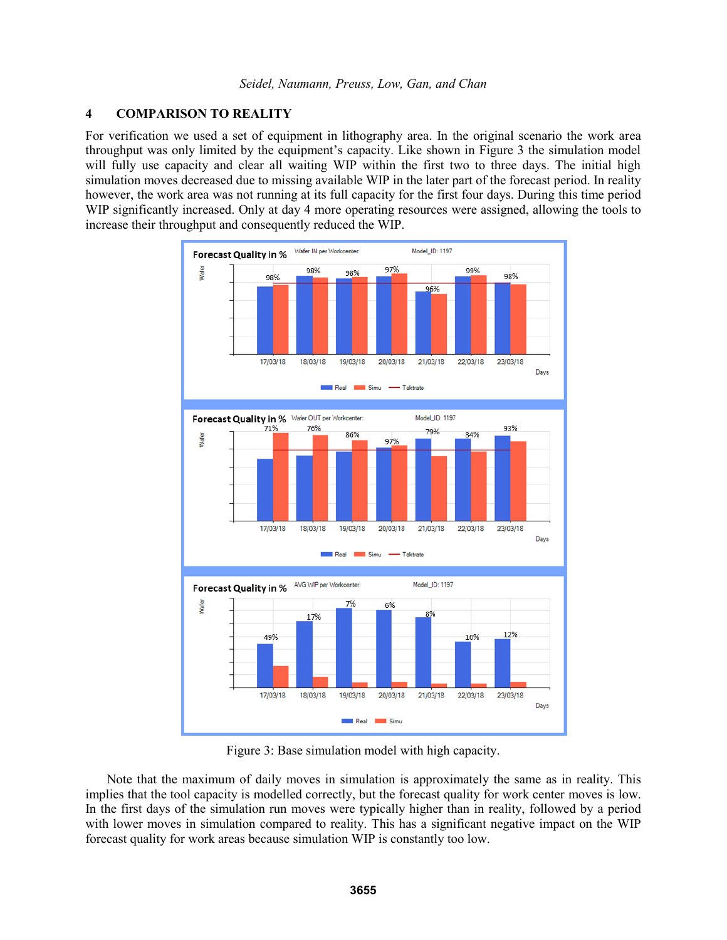# **4 COMPARISON TO REALITY**

For verification we used a set of equipment in lithography area. In the original scenario the work area throughput was only limited by the equipment's capacity. Like shown in Figure 3 the simulation model will fully use capacity and clear all waiting WIP within the first two to three days. The initial high simulation moves decreased due to missing available WIP in the later part of the forecast period. In reality however, the work area was not running at its full capacity for the first four days. During this time period WIP significantly increased. Only at day 4 more operating resources were assigned, allowing the tools to increase their throughput and consequently reduced the WIP.



Figure 3: Base simulation model with high capacity.

Note that the maximum of daily moves in simulation is approximately the same as in reality. This implies that the tool capacity is modelled correctly, but the forecast quality for work center moves is low. In the first days of the simulation run moves were typically higher than in reality, followed by a period with lower moves in simulation compared to reality. This has a significant negative impact on the WIP forecast quality for work areas because simulation WIP is constantly too low.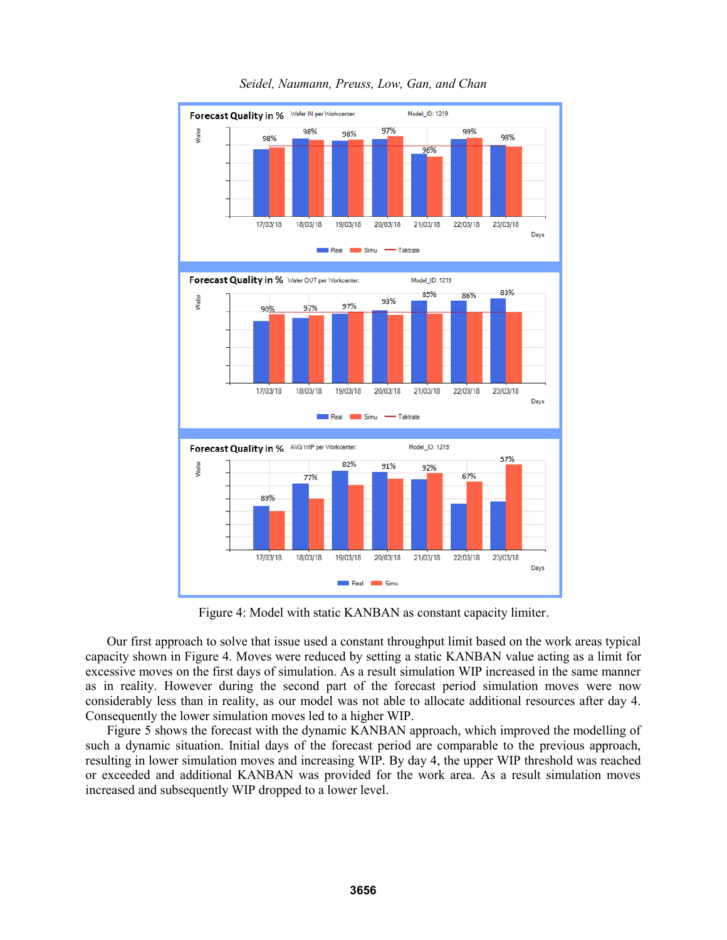

Figure 4: Model with static KANBAN as constant capacity limiter.

Our first approach to solve that issue used a constant throughput limit based on the work areas typical capacity shown in Figure 4. Moves were reduced by setting a static KANBAN value acting as a limit for excessive moves on the first days of simulation. As a result simulation WIP increased in the same manner as in reality. However during the second part of the forecast period simulation moves were now considerably less than in reality, as our model was not able to allocate additional resources after day 4. Consequently the lower simulation moves led to a higher WIP.

Figure 5 shows the forecast with the dynamic KANBAN approach, which improved the modelling of such a dynamic situation. Initial days of the forecast period are comparable to the previous approach, resulting in lower simulation moves and increasing WIP. By day 4, the upper WIP threshold was reached or exceeded and additional KANBAN was provided for the work area. As a result simulation moves increased and subsequently WIP dropped to a lower level.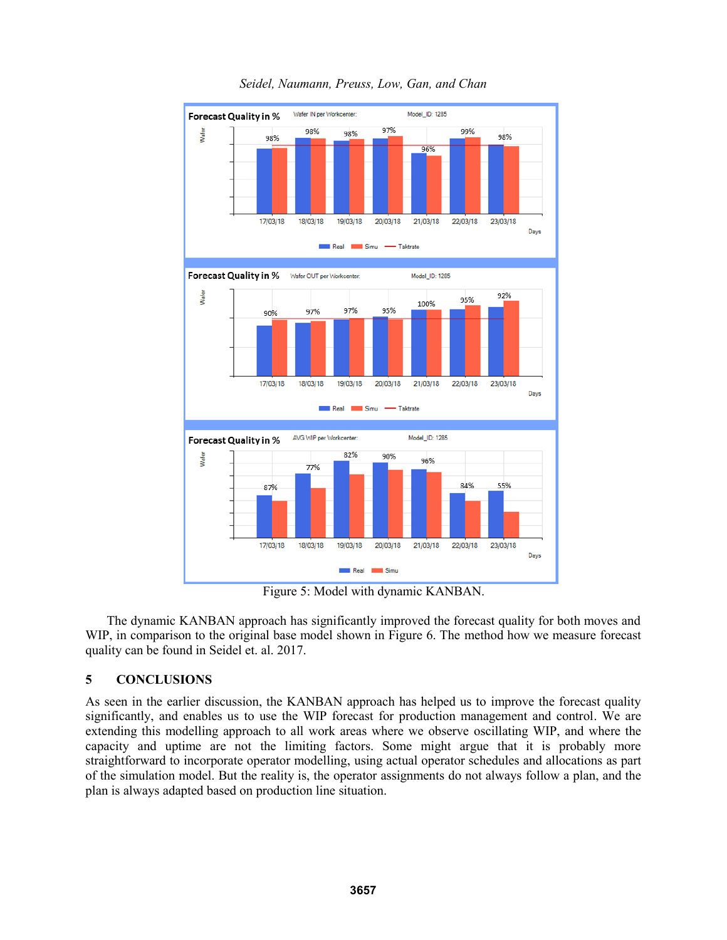

Figure 5: Model with dynamic KANBAN.

The dynamic KANBAN approach has significantly improved the forecast quality for both moves and WIP, in comparison to the original base model shown in Figure 6. The method how we measure forecast quality can be found in Seidel et. al. 2017.

# **5 CONCLUSIONS**

As seen in the earlier discussion, the KANBAN approach has helped us to improve the forecast quality significantly, and enables us to use the WIP forecast for production management and control. We are extending this modelling approach to all work areas where we observe oscillating WIP, and where the capacity and uptime are not the limiting factors. Some might argue that it is probably more straightforward to incorporate operator modelling, using actual operator schedules and allocations as part of the simulation model. But the reality is, the operator assignments do not always follow a plan, and the plan is always adapted based on production line situation.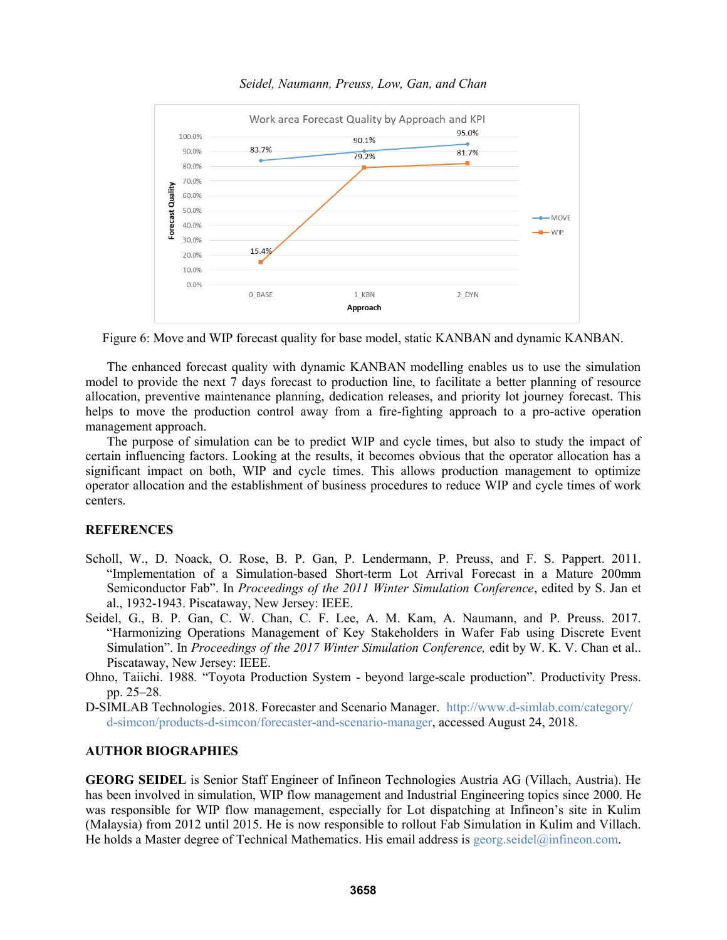

Figure 6: Move and WIP forecast quality for base model, static KANBAN and dynamic KANBAN.

The enhanced forecast quality with dynamic KANBAN modelling enables us to use the simulation model to provide the next 7 days forecast to production line, to facilitate a better planning of resource allocation, preventive maintenance planning, dedication releases, and priority lot journey forecast. This helps to move the production control away from a fire-fighting approach to a pro-active operation management approach.

The purpose of simulation can be to predict WIP and cycle times, but also to study the impact of certain influencing factors. Looking at the results, it becomes obvious that the operator allocation has a significant impact on both, WIP and cycle times. This allows production management to optimize operator allocation and the establishment of business procedures to reduce WIP and cycle times of work centers.

### **REFERENCES**

- Scholl, W., D. Noack, O. Rose, B. P. Gan, P. Lendermann, P. Preuss, and F. S. Pappert. 2011. "Implementation of a Simulation-based Short-term Lot Arrival Forecast in a Mature 200mm Semiconductor Fab". In *Proceedings of the 2011 Winter Simulation Conference*, edited by S. Jan et al., 1932-1943. Piscataway, New Jersey: IEEE.
- Seidel, G., B. P. Gan, C. W. Chan, C. F. Lee, A. M. Kam, A. Naumann, and P. Preuss. 2017. "Harmonizing Operations Management of Key Stakeholders in Wafer Fab using Discrete Event Simulation". In *Proceedings of the 2017 Winter Simulation Conference,* edit by W. K. V. Chan et al.. Piscataway, New Jersey: IEEE.
- Ohno, Taiichi. 1988*.* "Toyota Production System beyond large-scale production"*.* Productivity Press. pp. 25–28*.*

D-SIMLAB Technologies. 2018. Forecaster and Scenario Manager. http://www.d-simlab.com/category/ d-simcon/products-d-simcon/forecaster-and-scenario-manager, accessed August 24, 2018.

### **AUTHOR BIOGRAPHIES**

**GEORG SEIDEL** is Senior Staff Engineer of Infineon Technologies Austria AG (Villach, Austria). He has been involved in simulation, WIP flow management and Industrial Engineering topics since 2000. He was responsible for WIP flow management, especially for Lot dispatching at Infineon's site in Kulim (Malaysia) from 2012 until 2015. He is now responsible to rollout Fab Simulation in Kulim and Villach. He holds a Master degree of Technical Mathematics. His email address is  $geq$  seidel $@$ infineon.com.